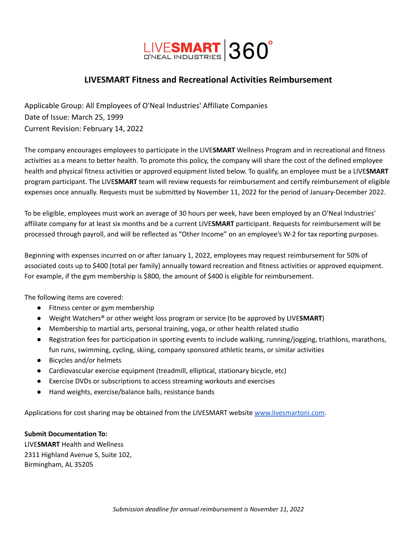

## **LIVESMART Fitness and Recreational Activities Reimbursement**

Applicable Group: All Employees of O'Neal Industries' Affiliate Companies Date of Issue: March 25, 1999 Current Revision: February 14, 2022

The company encourages employees to participate in the LIVE**SMART** Wellness Program and in recreational and fitness activities as a means to better health. To promote this policy, the company will share the cost of the defined employee health and physical fitness activities or approved equipment listed below. To qualify, an employee must be a LIVE**SMART** program participant. The LIVE**SMART** team will review requests for reimbursement and certify reimbursement of eligible expenses once annually. Requests must be submitted by November 11, 2022 for the period of January-December 2022.

To be eligible, employees must work an average of 30 hours per week, have been employed by an O'Neal Industries' affiliate company for at least six months and be a current LIVE**SMART** participant. Requests for reimbursement will be processed through payroll, and will be reflected as "Other Income" on an employee's W-2 for tax reporting purposes.

Beginning with expenses incurred on or after January 1, 2022, employees may request reimbursement for 50% of associated costs up to \$400 (total per family) annually toward recreation and fitness activities or approved equipment. For example, if the gym membership is \$800, the amount of \$400 is eligible for reimbursement.

The following items are covered:

- Fitness center or gym membership
- Weight Watchers® or other weight loss program or service (to be approved by LIVE**SMART**)
- Membership to martial arts, personal training, yoga, or other health related studio
- Registration fees for participation in sporting events to include walking, running/jogging, triathlons, marathons, fun runs, swimming, cycling, skiing, company sponsored athletic teams, or similar activities
- Bicycles and/or helmets
- Cardiovascular exercise equipment (treadmill, elliptical, stationary bicycle, etc)
- Exercise DVDs or subscriptions to access streaming workouts and exercises
- Hand weights, exercise/balance balls, resistance bands

Applications for cost sharing may be obtained from the LIVESMART website [www.livesmartoni.com.](http://www.livesmartoni.com)

#### **Submit Documentation To:**

LIVE**SMART** Health and Wellness 2311 Highland Avenue S, Suite 102, Birmingham, AL 35205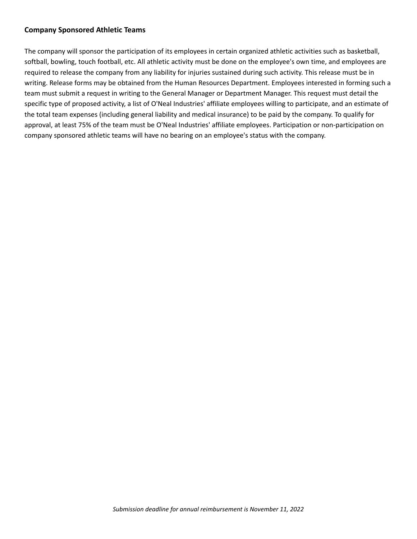#### **Company Sponsored Athletic Teams**

The company will sponsor the participation of its employees in certain organized athletic activities such as basketball, softball, bowling, touch football, etc. All athletic activity must be done on the employee's own time, and employees are required to release the company from any liability for injuries sustained during such activity. This release must be in writing. Release forms may be obtained from the Human Resources Department. Employees interested in forming such a team must submit a request in writing to the General Manager or Department Manager. This request must detail the specific type of proposed activity, a list of O'Neal Industries' affiliate employees willing to participate, and an estimate of the total team expenses (including general liability and medical insurance) to be paid by the company. To qualify for approval, at least 75% of the team must be O'Neal Industries' affiliate employees. Participation or non-participation on company sponsored athletic teams will have no bearing on an employee's status with the company.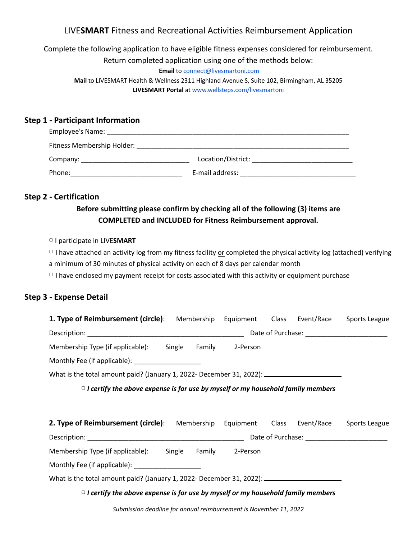## LIVE**SMART** Fitness and Recreational Activities Reimbursement Application

# Complete the following application to have eligible fitness expenses considered for reimbursement. Return completed application using one of the methods below:

**Email** to [connect@livesmartoni.com](mailto:connect@livesmartoni.com)

**Mail** to LIVESMART Health & Wellness 2311 Highland Avenue S, Suite 102, Birmingham, AL 35205 **LIVESMART Portal** at [www.wellsteps.com/livesmartoni](http://www.wellsteps.com/livesmartoni)

#### **Step 1 - Participant Information**

| Employee's Name:           |                    |
|----------------------------|--------------------|
| Fitness Membership Holder: |                    |
| Company:                   | Location/District: |
| Phone:                     | E-mail address:    |

#### **Step 2 - Certification**

## **Before submitting please confirm by checking all of the following (3) items are COMPLETED and INCLUDED for Fitness Reimbursement approval.**

▢ I participate in LIVE**SMART**

 $\Box$  I have attached an activity log from my fitness facility or completed the physical activity log (attached) verifying

a minimum of 30 minutes of physical activity on each of 8 days per calendar month

□ I have enclosed my payment receipt for costs associated with this activity or equipment purchase

#### **Step 3 - Expense Detail**

| <b>1. Type of Reimbursement (circle)</b> : Membership Equipment Class Event/Race Sports League       |  |  |  |  |               |  |  |  |  |  |  |  |  |  |
|------------------------------------------------------------------------------------------------------|--|--|--|--|---------------|--|--|--|--|--|--|--|--|--|
|                                                                                                      |  |  |  |  |               |  |  |  |  |  |  |  |  |  |
| Membership Type (if applicable): Single Family 2-Person                                              |  |  |  |  |               |  |  |  |  |  |  |  |  |  |
| Monthly Fee (if applicable): ______________________                                                  |  |  |  |  |               |  |  |  |  |  |  |  |  |  |
| What is the total amount paid? (January 1, 2022- December 31, 2022): _______________________________ |  |  |  |  |               |  |  |  |  |  |  |  |  |  |
| $\circ$ I certify the above expense is for use by myself or my household family members              |  |  |  |  |               |  |  |  |  |  |  |  |  |  |
|                                                                                                      |  |  |  |  |               |  |  |  |  |  |  |  |  |  |
| <b>2. Type of Reimbursement (circle):</b> Membership Equipment Class Event/Race                      |  |  |  |  | Sports League |  |  |  |  |  |  |  |  |  |
|                                                                                                      |  |  |  |  |               |  |  |  |  |  |  |  |  |  |
| Membership Type (if applicable): Single Family 2-Person                                              |  |  |  |  |               |  |  |  |  |  |  |  |  |  |
| Monthly Fee (if applicable): ___________________                                                     |  |  |  |  |               |  |  |  |  |  |  |  |  |  |
| What is the total amount paid? (January 1, 2022- December 31, 2022): _______________________________ |  |  |  |  |               |  |  |  |  |  |  |  |  |  |
| $\circ$ I certify the above expense is for use by myself or my household family members              |  |  |  |  |               |  |  |  |  |  |  |  |  |  |
|                                                                                                      |  |  |  |  |               |  |  |  |  |  |  |  |  |  |

*Submission deadline for annual reimbursement is November 11, 2022*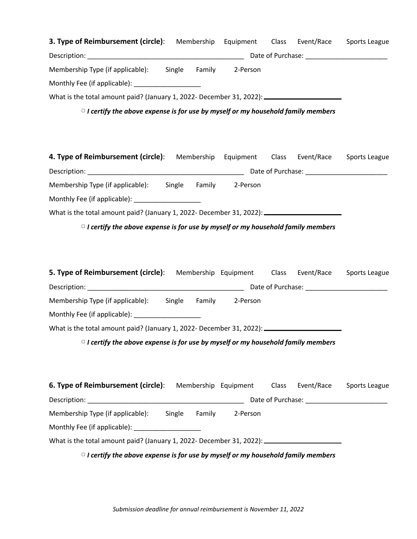| 3. Type of Reimbursement (circle): Membership Equipment Class Event/Race Sports League               |  |  |                          |
|------------------------------------------------------------------------------------------------------|--|--|--------------------------|
|                                                                                                      |  |  |                          |
| Membership Type (if applicable): Single Family 2-Person                                              |  |  |                          |
| Monthly Fee (if applicable): ______________________                                                  |  |  |                          |
| What is the total amount paid? (January 1, 2022- December 31, 2022): _______________________________ |  |  |                          |
| $\circ$ I certify the above expense is for use by myself or my household family members              |  |  |                          |
|                                                                                                      |  |  |                          |
| 4. Type of Reimbursement (circle): Membership Equipment Class Event/Race Sports League               |  |  |                          |
|                                                                                                      |  |  |                          |
| Membership Type (if applicable): Single Family 2-Person                                              |  |  |                          |
| Monthly Fee (if applicable): ____________________                                                    |  |  |                          |
| What is the total amount paid? (January 1, 2022- December 31, 2022): _______________________________ |  |  |                          |
| $\circ$ I certify the above expense is for use by myself or my household family members              |  |  |                          |
|                                                                                                      |  |  |                          |
|                                                                                                      |  |  |                          |
| <b>5. Type of Reimbursement (circle)</b> : Membership Equipment Class Event/Race Sports League       |  |  |                          |
|                                                                                                      |  |  |                          |
| Membership Type (if applicable): Single Family 2-Person                                              |  |  |                          |
| Monthly Fee (if applicable): ____________________                                                    |  |  |                          |
| What is the total amount paid? (January 1, 2022- December 31, 2022): $\frac{1}{2}$                   |  |  |                          |
| $\circ$ I certify the above expense is for use by myself or my household family members              |  |  |                          |
|                                                                                                      |  |  |                          |
| <b>6. Type of Reimbursement (circle)</b> : Membership Equipment Class                                |  |  | Event/Race Sports League |
|                                                                                                      |  |  |                          |
| Membership Type (if applicable): Single Family 2-Person                                              |  |  |                          |
| Monthly Fee (if applicable): Monthly Fee (if applicable):                                            |  |  |                          |
| What is the total amount paid? (January 1, 2022- December 31, 2022): _______________________________ |  |  |                          |
| $\circ$ I certify the above expense is for use by myself or my household family members              |  |  |                          |